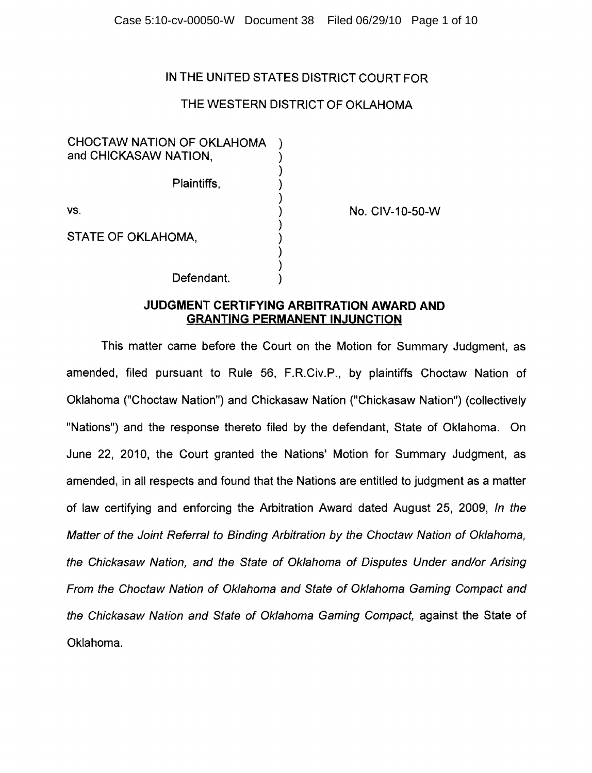## IN THE UNITED STATES DISTRICT COURT FOR

# THE WESTERN DISTRICT OF OKLAHOMA

| CHOCTAW NATION OF OKLAHOMA<br>and CHICKASAW NATION, |  |
|-----------------------------------------------------|--|
| Plaintiffs,                                         |  |
| VS.                                                 |  |
| STATE OF OKLAHOMA,                                  |  |
| Defendant.                                          |  |

No. CIV-10-50-W

### **JUDGMENT CERTIFYING ARBITRATION AWARD AND GRANTING PERMANENT INJUNCTION**

This matter came before the Court on the Motion for Summary Judgment, as amended, filed pursuant to Rule 56, F.R.Civ.P., by plaintiffs Choctaw Nation of Oklahoma ("Choctaw Nation") and Chickasaw Nation ("Chickasaw Nation") (collectively "Nations") and the response thereto filed by the defendant, State of Oklahoma. On June 22, 2010, the Court granted the Nations' Motion for Summary Judgment, as amended, in all respects and found that the Nations are entitled to judgment as a matter of law certifying and enforcing the Arbitration Award dated August 25, 2009, In the Matter of the Joint Referral to Binding Arbitration by the Choctaw Nation of Oklahoma, the Chickasaw Nation, and the State of Oklahoma of Disputes Under and/or Arising From the Choctaw Nation of Oklahoma and State of Oklahoma Gaming Compact and the Chickasaw Nation and State of Oklahoma Gaming Compact, against the State of Oklahoma.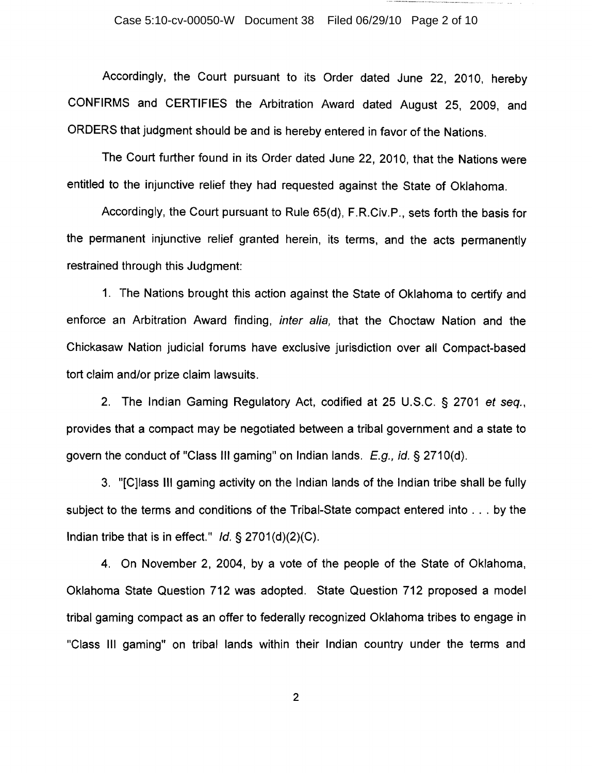#### Case 5:10-cv-00050-W Document 38 Filed 06/29/10 Page 2 of 10

Accordingly, the Court pursuant to its Order dated June 22, 2010, hereby CONFIRMS and CERTIFIES the Arbitration Award dated August 25, 2009, and ORDERS that judgment should be and is hereby entered in favor of the Nations.

The Court further found in its Order dated June 22, 2010, that the Nations were entitled to the injunctive relief they had requested against the State of Oklahoma.

Accordingly, the Court pursuant to Rule 65(d), F.R.Civ.P., sets forth the basis for the permanent injunctive relief granted herein, its terms, and the acts permanently restrained through this Judgment:

1. The Nations brought this action against the State of Oklahoma to certify and enforce an Arbitration Award finding, inter alia, that the Choctaw Nation and the Chickasaw Nation judicial forums have exclusive jurisdiction over all Compact-based tort claim and/or prize claim lawsuits.

2. The Indian Gaming Regulatory Act, codified at 25 U.S.C. § 2701 et seq., provides that a compact may be negotiated between a tribal government and a state to govern the conduct of "Class'' Ill gaming" on Indian lands.  $E.g., id. \S$  2710(d).

3. "[C]lass III gaming activity on the Indian lands of the Indian tribe shall be fully subject to the terms and conditions of the Tribal-State compact entered into ... by the Indian tribe that is in effect." Id.  $\S 2701(d)(2)(C)$ .

4. On November 2, 2004, by a vote of the people of the State of Oklahoma, Oklahoma State Question 712 was adopted. State Question 712 proposed a model tribal gaming compact as an offer to federally recognized Oklahoma tribes to engage in "Class III gaming" on tribal lands within their Indian country under the terms and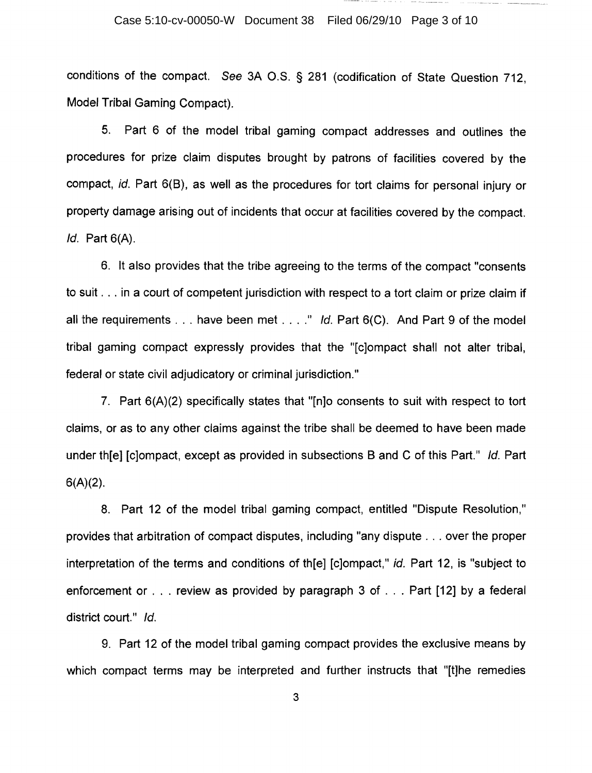#### Case 5:10-cv-00050-W Document 38 Filed 06/29/10 Page 3 of 10

conditions of the compact. See 3A O.S. § 281 (codification of State Question 712, Model Tribal Gaming Compact).

5. Part 6 of the model tribal gaming compact addresses and outlines the procedures for prize claim disputes brought by patrons of facilities covered by the compact, id. Part 6(8), as well as the procedures for tort claims for personal injury or property damage arising out of incidents that occur at facilities covered by the compact. Id. Part 6(A).

6. It also provides that the tribe agreeing to the terms of the compact "consents to suit ... in a court of competent jurisdiction with respect to a tort claim or prize claim if all the requirements  $\ldots$  have been met  $\ldots$ ." Id. Part 6(C). And Part 9 of the model tribal gaming compact expressly provides that the "[c]ompact shall not alter tribal, federal or state civil adjudicatory or criminal jurisdiction."

7. Part 6(A)(2) specifically states that "[n]o consents to suit with respect to tort claims, or as to any other claims against the tribe shall be deemed to have been made under th[e] [c]ompact, except as provided in subsections 8 and C of this Part." Id. Part  $6(A)(2)$ .

8. Part 12 of the model tribal gaming compact, entitled "Dispute Resolution," provides that arbitration of compact disputes, including "any dispute ... over the proper interpretation of the terms and conditions of th[e] [c]ompact," id. Part 12, is "subject to enforcement or . . . review as provided by paragraph 3 of . . . Part [12] by a federal district court." Id.

9. Part 12 of the model tribal gaming compact provides the exclusive means by which compact terms may be interpreted and further instructs that "[t]he remedies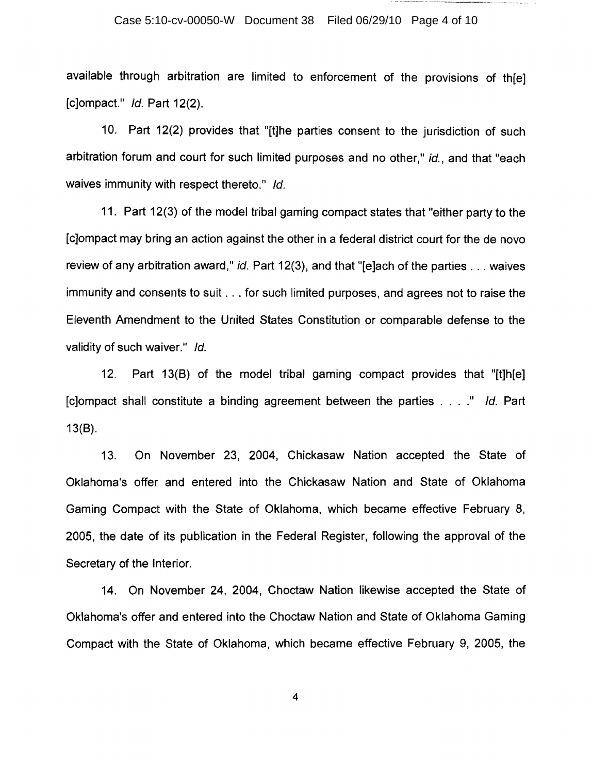#### Case 5:10-cv-00050-W Document 38 Filed 06/29/10 Page 4 of 10

available through arbitration are limited to enforcement of the provisions of th[e] [c]ompact." Id. Part 12(2).

10. Part 12(2) provides that "[t]he parties consent to the jurisdiction of such arbitration forum and court for such limited purposes and no other," id., and that "each waives immunity with respect thereto." Id.

11. Part 12(3) of the model tribal gaming compact states that "either party to the [c]ompact may bring an action against the other in a federal district court for the de novo review of any arbitration award," id. Part 12(3), and that "[e]ach of the parties ... waives immunity and consents to suit ... for such limited purposes, and agrees not to raise the Eleventh Amendment to the United States Constitution or comparable defense to the validity of such waiver." Id.

12. Part 13(8) of the model tribal gaming compact provides that "[t]h[e] [c]ompact shall constitute a binding agreement between the parties. *"/d.* Part 13(8).

13. On November 23, 2004, Chickasaw Nation accepted the State of Oklahoma's offer and entered into the Chickasaw Nation and State of Oklahoma Gaming Compact with the State of Oklahoma, which became effective February 8, 2005, the date of its publication in the Federal Register, following the approval of the Secretary of the Interior.

14. On November 24, 2004, Choctaw Nation likewise accepted the State of Oklahoma's offer and entered into the Choctaw Nation and State of Oklahoma Gaming Compact with the State of Oklahoma, which became effective February 9, 2005, the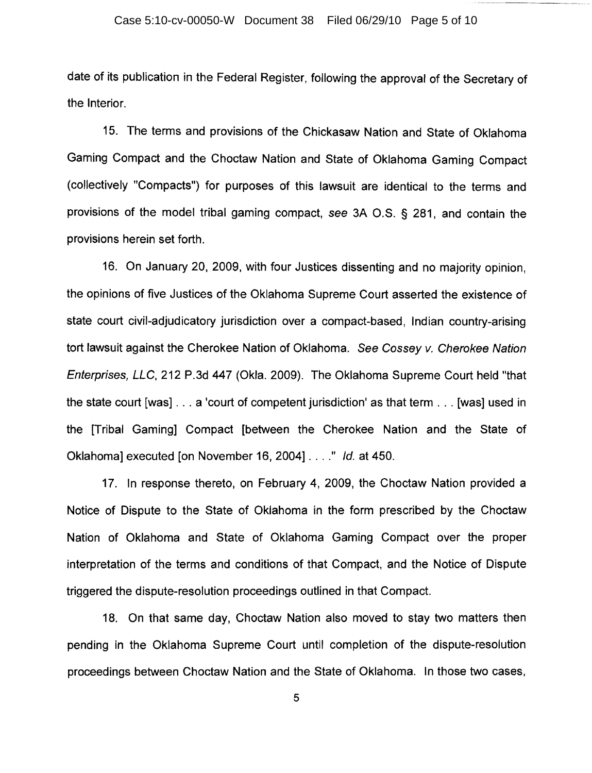date of its publication in the Federal Register, following the approval of the Secretary of the Interior.

15. The terms and provisions of the Chickasaw Nation and State of Oklahoma Gaming Compact and the Choctaw Nation and State of Oklahoma Gaming Compact (collectively "Compacts") for purposes of this lawsuit are identical to the terms and provisions of the model tribal gaming compact, see 3A O.S. § 281, and contain the provisions herein set forth.

16. On January 20, 2009, with four Justices dissenting and no majority opinion, the opinions of five Justices of the Oklahoma Supreme Court asserted the existence of state court civil-adjudicatory jurisdiction over a compact-based, Indian country-arising tort lawsuit against the Cherokee Nation of Oklahoma. See Cossey v. Cherokee Nation Enterprises, LLC, 212 P.3d 447 (Okla. 2009). The Oklahoma Supreme Court held "that the state court [was] ... a 'court of competent jurisdiction' as that term ... [was] used in the [Tribal Gaming] Compact [between the Cherokee Nation and the State of Oklahoma] executed [on November 16, 2004]  $\ldots$  " Id. at 450.

17. In response thereto, on February 4, 2009, the Choctaw Nation provided a Notice of Dispute to the State of Oklahoma in the form prescribed by the Choctaw Nation of Oklahoma and State of Oklahoma Gaming Compact over the proper interpretation of the terms and conditions of that Compact, and the Notice of Dispute triggered the dispute-resolution proceedings outlined in that Compact.

18. On that same day, Choctaw Nation also moved to stay two matters then pending in the Oklahoma Supreme Court until completion of the dispute-resolution proceedings between Choctaw Nation and the State of Oklahoma. In those two cases,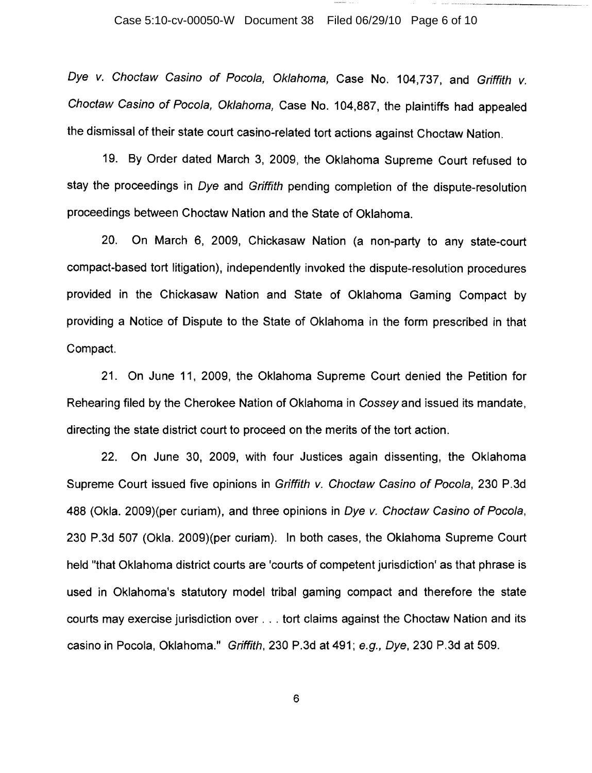Dye v. Choctaw Casino of Pocola, Oklahoma, Case No. 104,737, and Griffith v. Choctaw Casino of Pocola, Oklahoma, Case No. 104,887, the plaintiffs had appealed the dismissal of their state court casino-related tort actions against Choctaw Nation.

19. By Order dated March 3, 2009, the Oklahoma Supreme Court refused to stay the proceedings in Dye and Griffith pending completion of the dispute-resolution proceedings between Choctaw Nation and the State of Oklahoma.

20. On March 6, 2009, Chickasaw Nation (a non-party to any state-court compact-based tort litigation), independently invoked the dispute-resolution procedures provided in the Chickasaw Nation and State of Oklahoma Gaming Compact by providing a Notice of Dispute to the State of Oklahoma in the form prescribed in that Compact.

21. On June **11,** 2009, the Oklahoma Supreme Court denied the Petition for Rehearing filed by the Cherokee Nation of Oklahoma in Cossey and issued its mandate, directing the state district court to proceed on the merits of the tort action.

22. On June 30, 2009, with four Justices again dissenting, the Oklahoma Supreme Court issued five opinions in Griffith v. Choctaw Casino of Pocola, 230 P.3d 488 (Okla. 2009)(per curiam), and three opinions in Dye v. Choctaw Casino of Pocola, 230 P.3d 507 (Okla. 2009)(per curiam). In both cases, the Oklahoma Supreme Court held "that Oklahoma district courts are 'courts of competent jurisdiction' as that phrase is used in Oklahoma's statutory model tribal gaming compact and therefore the state courts may exercise jurisdiction over ... tort claims against the Choctaw Nation and its casino in Pocola, Oklahoma." Griffith, 230 P.3d at 491; e.g., Dye, 230 P.3d at 509.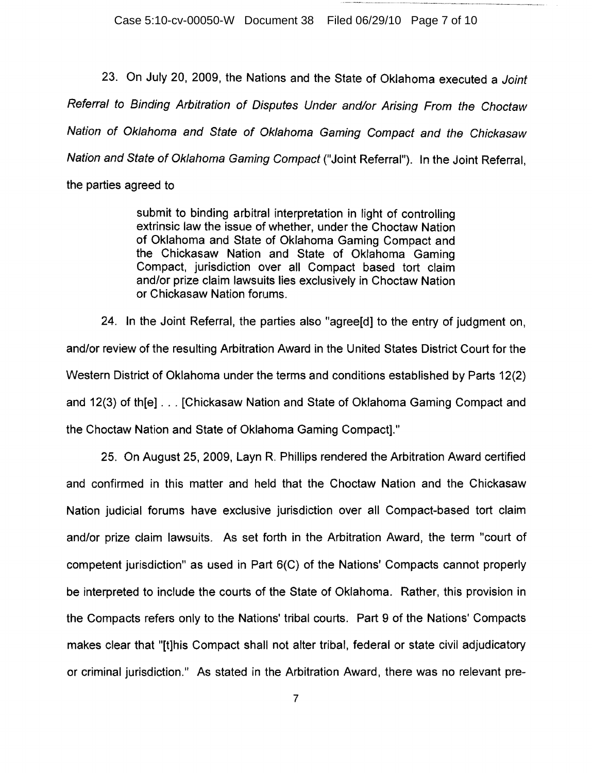Case 5:10-cv-00050-W Document 38 Filed 06/29/10 Page 7 of 10

23. On July 20, 2009, the Nations and the State of Oklahoma executed a Joint Referral to Binding Arbitration of Disputes Under and/or Arising From the Choctaw Nation of Oklahoma and State of Oklahoma Gaming Compact and the Chickasaw Nation and State of Oklahoma Gaming Compact ("Joint Referral"). In the Joint Referral,

the parties agreed to

submit to binding arbitral interpretation in light of controlling extrinsic law the issue of whether, under the Choctaw Nation of Oklahoma and State of Oklahoma Gaming Compact and the Chickasaw Nation and State of Oklahoma Gaming Compact, jurisdiction over all Compact based tort claim and/or prize claim lawsuits lies exclusively in Choctaw Nation or Chickasaw Nation forums.

24. In the Joint Referral, the parties also "agree[d] to the entry of judgment on, and/or review of the resulting Arbitration Award in the United States District Court for the Western District of Oklahoma under the terms and conditions established by Parts 12(2) and 12(3} of th[e] ... [Chickasaw Nation and State of Oklahoma Gaming Compact and the Choctaw Nation and State of Oklahoma Gaming Compact]."

25. On August 25, 2009, Layn R. Phillips rendered the Arbitration Award certified and confirmed in this matter and held that the Choctaw Nation and the Chickasaw Nation judicial forums have exclusive jurisdiction over all Compact-based tort claim and/or prize claim lawsuits. As set forth in the Arbitration Award, the term "court of competent jurisdiction" as used in Part 6(C} of the Nations' Compacts cannot properly be interpreted to include the courts of the State of Oklahoma. Rather, this provision in the Compacts refers only to the Nations' tribal courts. Part 9 of the Nations' Compacts makes clear that "[t]his Compact shall not alter tribal, federal or state civil adjudicatory or criminal jurisdiction." As stated in the Arbitration Award, there was no relevant pre-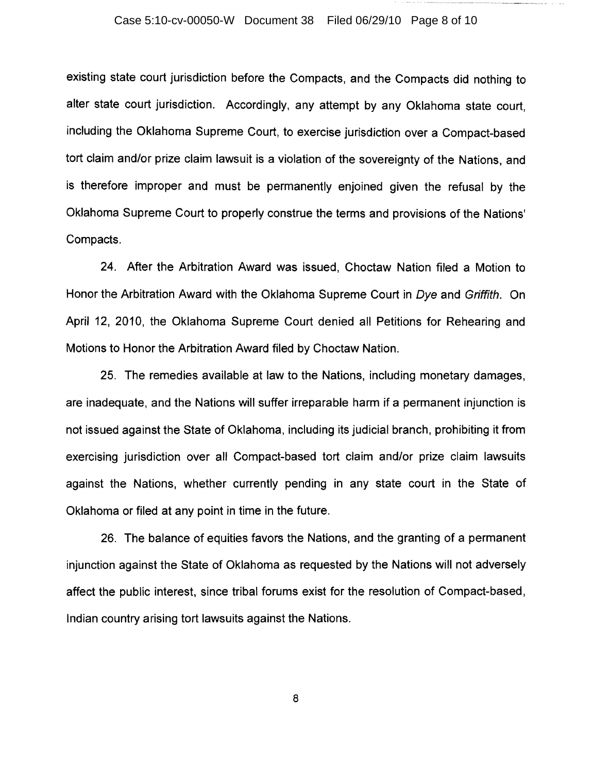#### Case 5:10-cv-00050-W Document 38 Filed 06/29/10 Page 8 of 10

existing state court jurisdiction before the Compacts, and the Compacts did nothing to alter state court jurisdiction. Accordingly, any attempt by any Oklahoma state court, including the Oklahoma Supreme Court, to exercise jurisdiction over a Compact-based tort claim and/or prize claim lawsuit is a violation of the sovereignty of the Nations, and is therefore improper and must be permanently enjoined given the refusal by the Oklahoma Supreme Court to properly construe the terms and provisions of the Nations' Compacts.

24. After the Arbitration Award was issued, Choctaw Nation filed a Motion to Honor the Arbitration Award with the Oklahoma Supreme Court in Dye and Griffith. On April 12, 2010, the Oklahoma Supreme Court denied all Petitions for Rehearing and Motions to Honor the Arbitration Award filed by Choctaw Nation.

25. The remedies available at law to the Nations, including monetary damages, are inadequate, and the Nations will suffer irreparable harm if a permanent injunction is not issued against the State of Oklahoma, including its judicial branch, prohibiting it from exercising jurisdiction over all Compact-based tort claim and/or prize claim lawsuits against the Nations, whether currently pending in any state court in the State of Oklahoma or filed at any point in time in the future.

26. The balance of equities favors the Nations, and the granting of a permanent injunction against the State of Oklahoma as requested by the Nations will not adversely affect the public interest, since tribal forums exist for the resolution of Compact-based, Indian country arising tort lawsuits against the Nations.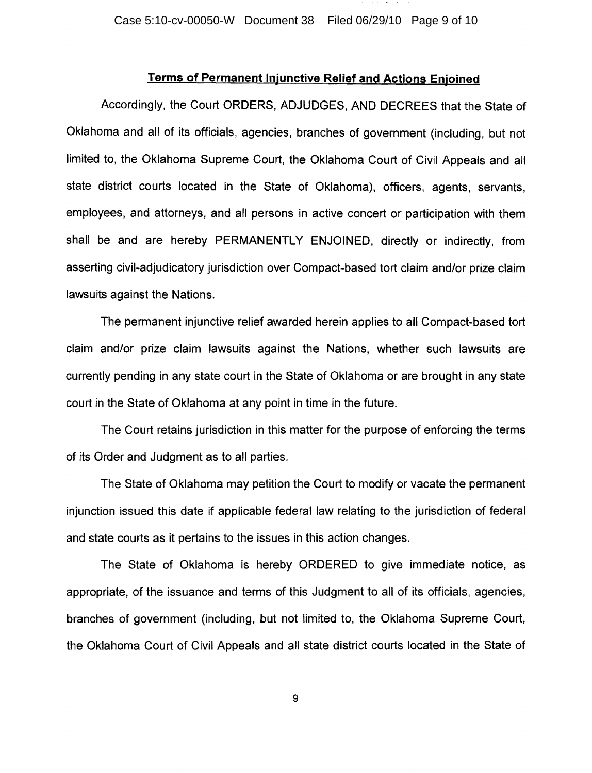### **Terms of Permanent Injunctive Relief and Actions Enjoined**

Accordingly, the Court ORDERS, ADJUDGES, AND DECREES that the State of Oklahoma and all of its officials, agencies, branches of government (including, but not limited to, the Oklahoma Supreme Court, the Oklahoma Court of Civil Appeals and all state district courts located in the State of Oklahoma), officers, agents, servants, employees, and attorneys, and all persons in active concert or participation with them shall be and are hereby PERMANENTLY ENJOINED, directly or indirectly, from asserting civil-adjudicatory jurisdiction over Compact-based tort claim and/or prize claim lawsuits against the Nations.

The permanent injunctive relief awarded herein applies to all Compact-based tort claim and/or prize claim lawsuits against the Nations, whether such lawsuits are currently pending in any state court in the State of Oklahoma or are brought in any state court in the State of Oklahoma at any point in time in the future.

The Court retains jurisdiction in this matter for the purpose of enforcing the terms of its Order and Judgment as to all parties.

The State of Oklahoma may petition the Court to modify or vacate the permanent injunction issued this date if applicable federal law relating to the jurisdiction of federal and state courts as it pertains to the issues in this action changes.

The State of Oklahoma is hereby ORDERED to give immediate notice, as appropriate, of the issuance and terms of this Judgment to all of its officials, agencies, branches of government (including, but not limited to, the Oklahoma Supreme Court, the Oklahoma Court of Civil Appeals and all state district courts located in the State of